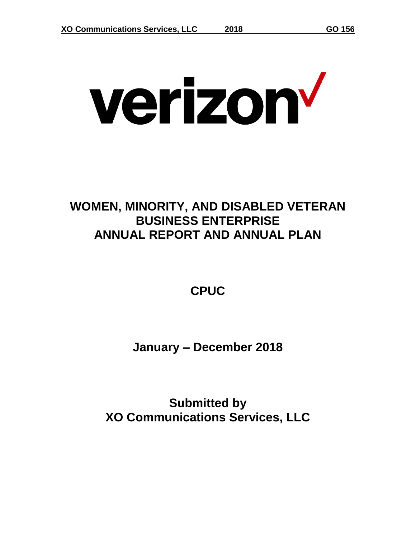# verizon<sup>v</sup>

## **WOMEN, MINORITY, AND DISABLED VETERAN BUSINESS ENTERPRISE ANNUAL REPORT AND ANNUAL PLAN**

**CPUC**

**January – December 2018**

**Submitted by XO Communications Services, LLC**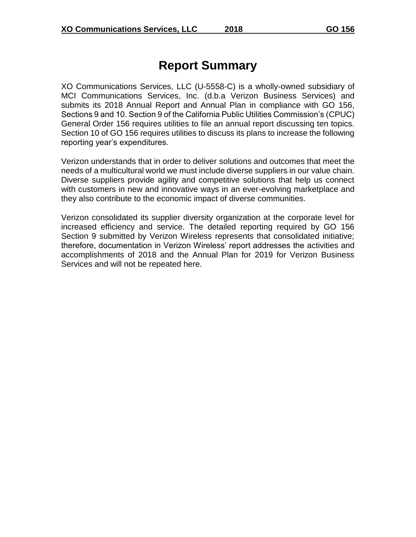#### **Report Summary**

XO Communications Services, LLC (U-5558-C) is a wholly-owned subsidiary of MCI Communications Services, Inc. (d.b.a Verizon Business Services) and submits its 2018 Annual Report and Annual Plan in compliance with GO 156, Sections 9 and 10. Section 9 of the California Public Utilities Commission's (CPUC) General Order 156 requires utilities to file an annual report discussing ten topics. Section 10 of GO 156 requires utilities to discuss its plans to increase the following reporting year's expenditures.

Verizon understands that in order to deliver solutions and outcomes that meet the needs of a multicultural world we must include diverse suppliers in our value chain. Diverse suppliers provide agility and competitive solutions that help us connect with customers in new and innovative ways in an ever-evolving marketplace and they also contribute to the economic impact of diverse communities.

Verizon consolidated its supplier diversity organization at the corporate level for increased efficiency and service. The detailed reporting required by GO 156 Section 9 submitted by Verizon Wireless represents that consolidated initiative; therefore, documentation in Verizon Wireless' report addresses the activities and accomplishments of 2018 and the Annual Plan for 2019 for Verizon Business Services and will not be repeated here.